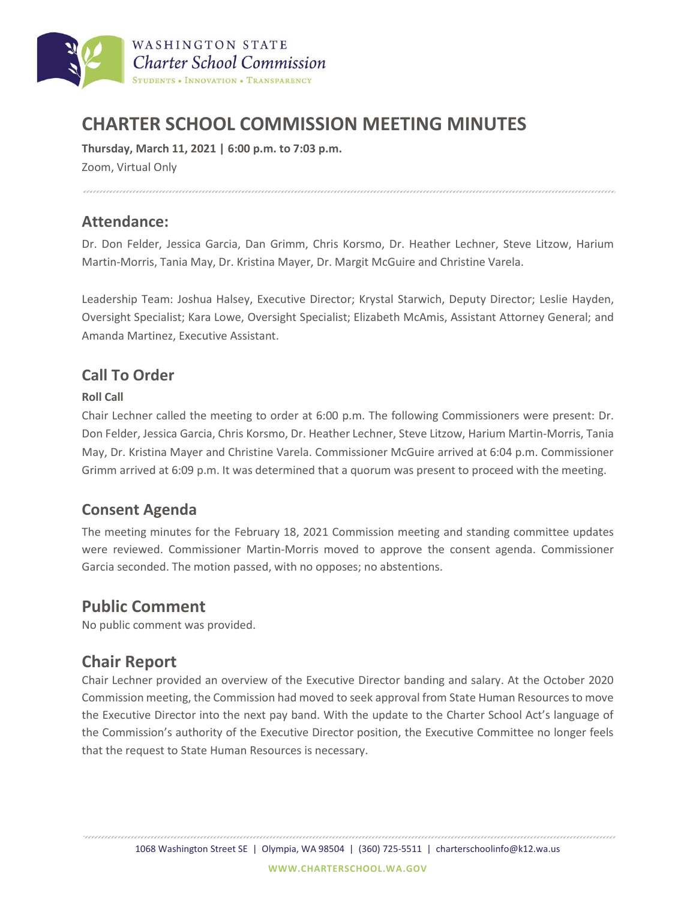

# **CHARTER SCHOOL COMMISSION MEETING MINUTES**

**Thursday, March 11, 2021 | 6:00 p.m. to 7:03 p.m.** Zoom, Virtual Only

#### **Attendance:**

Dr. Don Felder, Jessica Garcia, Dan Grimm, Chris Korsmo, Dr. Heather Lechner, Steve Litzow, Harium Martin-Morris, Tania May, Dr. Kristina Mayer, Dr. Margit McGuire and Christine Varela.

Leadership Team: Joshua Halsey, Executive Director; Krystal Starwich, Deputy Director; Leslie Hayden, Oversight Specialist; Kara Lowe, Oversight Specialist; Elizabeth McAmis, Assistant Attorney General; and Amanda Martinez, Executive Assistant.

### **Call To Order**

#### **Roll Call**

Chair Lechner called the meeting to order at 6:00 p.m. The following Commissioners were present: Dr. Don Felder, Jessica Garcia, Chris Korsmo, Dr. Heather Lechner, Steve Litzow, Harium Martin-Morris, Tania May, Dr. Kristina Mayer and Christine Varela. Commissioner McGuire arrived at 6:04 p.m. Commissioner Grimm arrived at 6:09 p.m. It was determined that a quorum was present to proceed with the meeting.

### **Consent Agenda**

The meeting minutes for the February 18, 2021 Commission meeting and standing committee updates were reviewed. Commissioner Martin-Morris moved to approve the consent agenda. Commissioner Garcia seconded. The motion passed, with no opposes; no abstentions.

## **Public Comment**

No public comment was provided.

## **Chair Report**

Chair Lechner provided an overview of the Executive Director banding and salary. At the October 2020 Commission meeting, the Commission had moved to seek approval from State Human Resources to move the Executive Director into the next pay band. With the update to the Charter School Act's language of the Commission's authority of the Executive Director position, the Executive Committee no longer feels that the request to State Human Resources is necessary.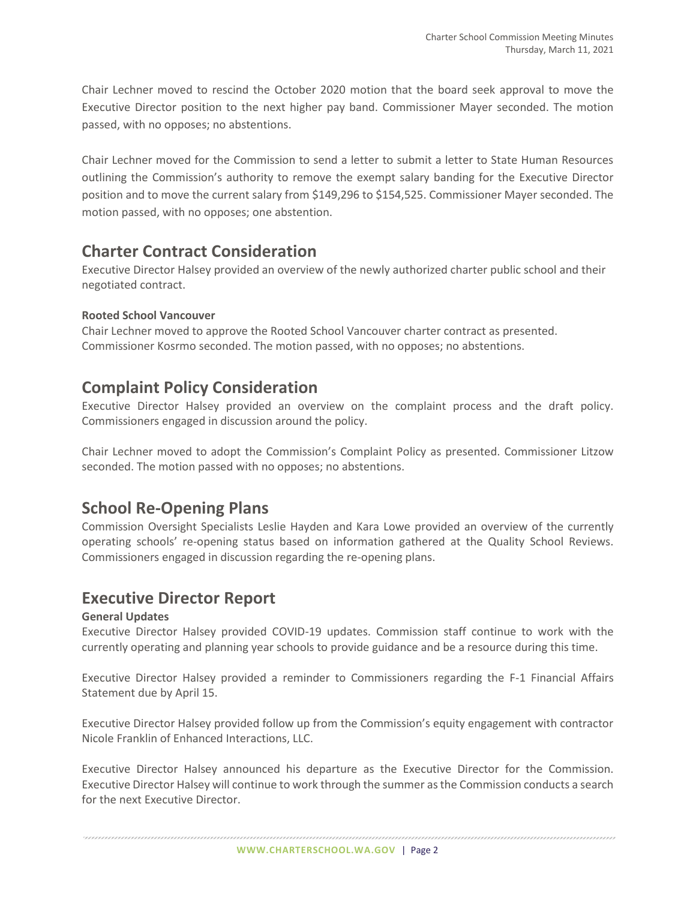Chair Lechner moved to rescind the October 2020 motion that the board seek approval to move the Executive Director position to the next higher pay band. Commissioner Mayer seconded. The motion passed, with no opposes; no abstentions.

Chair Lechner moved for the Commission to send a letter to submit a letter to State Human Resources outlining the Commission's authority to remove the exempt salary banding for the Executive Director position and to move the current salary from \$149,296 to \$154,525. Commissioner Mayer seconded. The motion passed, with no opposes; one abstention.

## **Charter Contract Consideration**

Executive Director Halsey provided an overview of the newly authorized charter public school and their negotiated contract.

#### **Rooted School Vancouver**

Chair Lechner moved to approve the Rooted School Vancouver charter contract as presented. Commissioner Kosrmo seconded. The motion passed, with no opposes; no abstentions.

## **Complaint Policy Consideration**

Executive Director Halsey provided an overview on the complaint process and the draft policy. Commissioners engaged in discussion around the policy.

Chair Lechner moved to adopt the Commission's Complaint Policy as presented. Commissioner Litzow seconded. The motion passed with no opposes; no abstentions.

## **School Re-Opening Plans**

Commission Oversight Specialists Leslie Hayden and Kara Lowe provided an overview of the currently operating schools' re-opening status based on information gathered at the Quality School Reviews. Commissioners engaged in discussion regarding the re-opening plans.

### **Executive Director Report**

#### **General Updates**

Executive Director Halsey provided COVID-19 updates. Commission staff continue to work with the currently operating and planning year schools to provide guidance and be a resource during this time.

Executive Director Halsey provided a reminder to Commissioners regarding the F-1 Financial Affairs Statement due by April 15.

Executive Director Halsey provided follow up from the Commission's equity engagement with contractor Nicole Franklin of Enhanced Interactions, LLC.

Executive Director Halsey announced his departure as the Executive Director for the Commission. Executive Director Halsey will continue to work through the summer as the Commission conducts a search for the next Executive Director.